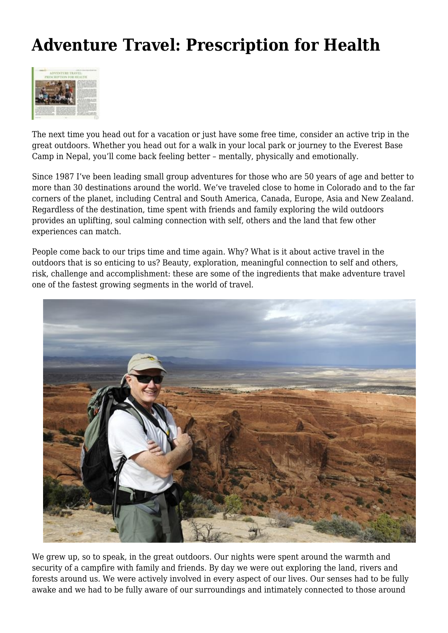## **Adventure Travel: Prescription for Health**



The next time you head out for a vacation or just have some free time, consider an active trip in the great outdoors. Whether you head out for a walk in your local park or journey to the Everest Base Camp in Nepal, you'll come back feeling better – mentally, physically and emotionally.

Since 1987 I've been leading small group adventures for those who are 50 years of age and better to more than 30 destinations around the world. We've traveled close to home in Colorado and to the far corners of the planet, including Central and South America, Canada, Europe, Asia and New Zealand. Regardless of the destination, time spent with friends and family exploring the wild outdoors provides an uplifting, soul calming connection with self, others and the land that few other experiences can match.

People come back to our trips time and time again. Why? What is it about active travel in the outdoors that is so enticing to us? Beauty, exploration, meaningful connection to self and others, risk, challenge and accomplishment: these are some of the ingredients that make adventure travel one of the fastest growing segments in the world of travel.



We grew up, so to speak, in the great outdoors. Our nights were spent around the warmth and security of a campfire with family and friends. By day we were out exploring the land, rivers and forests around us. We were actively involved in every aspect of our lives. Our senses had to be fully awake and we had to be fully aware of our surroundings and intimately connected to those around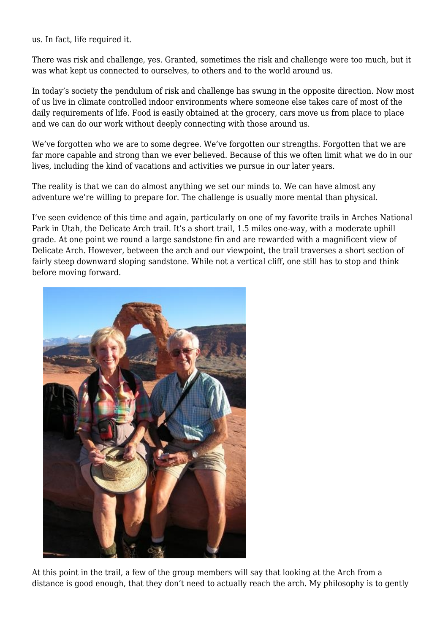us. In fact, life required it.

There was risk and challenge, yes. Granted, sometimes the risk and challenge were too much, but it was what kept us connected to ourselves, to others and to the world around us.

In today's society the pendulum of risk and challenge has swung in the opposite direction. Now most of us live in climate controlled indoor environments where someone else takes care of most of the daily requirements of life. Food is easily obtained at the grocery, cars move us from place to place and we can do our work without deeply connecting with those around us.

We've forgotten who we are to some degree. We've forgotten our strengths. Forgotten that we are far more capable and strong than we ever believed. Because of this we often limit what we do in our lives, including the kind of vacations and activities we pursue in our later years.

The reality is that we can do almost anything we set our minds to. We can have almost any adventure we're willing to prepare for. The challenge is usually more mental than physical.

I've seen evidence of this time and again, particularly on one of my favorite trails in Arches National Park in Utah, the Delicate Arch trail. It's a short trail, 1.5 miles one-way, with a moderate uphill grade. At one point we round a large sandstone fin and are rewarded with a magnificent view of Delicate Arch. However, between the arch and our viewpoint, the trail traverses a short section of fairly steep downward sloping sandstone. While not a vertical cliff, one still has to stop and think before moving forward.



At this point in the trail, a few of the group members will say that looking at the Arch from a distance is good enough, that they don't need to actually reach the arch. My philosophy is to gently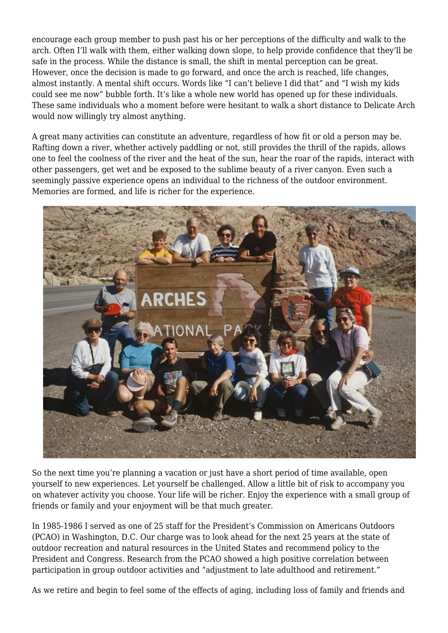encourage each group member to push past his or her perceptions of the difficulty and walk to the arch. Often I'll walk with them, either walking down slope, to help provide confidence that they'll be safe in the process. While the distance is small, the shift in mental perception can be great. However, once the decision is made to go forward, and once the arch is reached, life changes, almost instantly. A mental shift occurs. Words like "I can't believe I did that" and "I wish my kids could see me now" bubble forth. It's like a whole new world has opened up for these individuals. These same individuals who a moment before were hesitant to walk a short distance to Delicate Arch would now willingly try almost anything.

A great many activities can constitute an adventure, regardless of how fit or old a person may be. Rafting down a river, whether actively paddling or not, still provides the thrill of the rapids, allows one to feel the coolness of the river and the heat of the sun, hear the roar of the rapids, interact with other passengers, get wet and be exposed to the sublime beauty of a river canyon. Even such a seemingly passive experience opens an individual to the richness of the outdoor environment. Memories are formed, and life is richer for the experience.



So the next time you're planning a vacation or just have a short period of time available, open yourself to new experiences. Let yourself be challenged. Allow a little bit of risk to accompany you on whatever activity you choose. Your life will be richer. Enjoy the experience with a small group of friends or family and your enjoyment will be that much greater.

In 1985-1986 I served as one of 25 staff for the President's Commission on Americans Outdoors (PCAO) in Washington, D.C. Our charge was to look ahead for the next 25 years at the state of outdoor recreation and natural resources in the United States and recommend policy to the President and Congress. Research from the PCAO showed a high positive correlation between participation in group outdoor activities and "adjustment to late adulthood and retirement."

As we retire and begin to feel some of the effects of aging, including loss of family and friends and